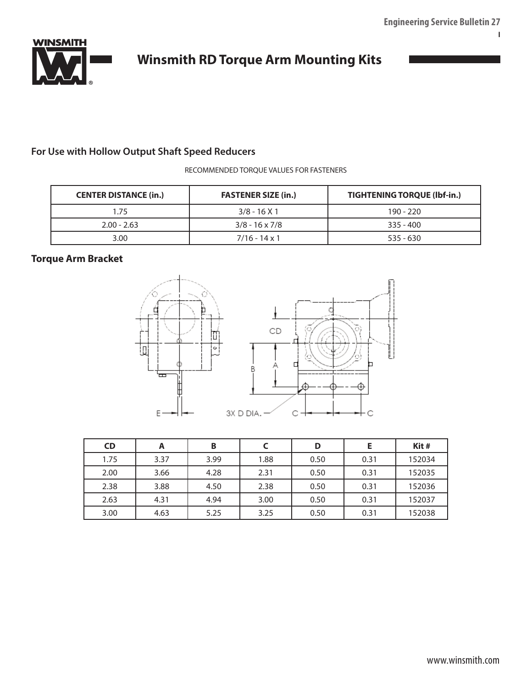**I**



# **Winsmith RD Torque Arm Mounting Kits**

# **For Use with Hollow Output Shaft Speed Reducers**

RECOMMENDED TORQUE VALUES FOR FASTENERS

| <b>CENTER DISTANCE (in.)</b> | <b>FASTENER SIZE (in.)</b> | <b>TIGHTENING TORQUE (Ibf-in.)</b> |  |  |  |
|------------------------------|----------------------------|------------------------------------|--|--|--|
| 175                          | $3/8 - 16X1$               | $190 - 220$                        |  |  |  |
| $2.00 - 2.63$                | $3/8 - 16 \times 7/8$      | $335 - 400$                        |  |  |  |
| 3.00                         | $7/16 - 14 \times 1$       | $535 - 630$                        |  |  |  |

# **Torque Arm Bracket**



| <b>CD</b> | A    | B    |      | D    |      | Kit#   |
|-----------|------|------|------|------|------|--------|
| 1.75      | 3.37 | 3.99 | 1.88 | 0.50 | 0.31 | 152034 |
| 2.00      | 3.66 | 4.28 | 2.31 | 0.50 | 0.31 | 152035 |
| 2.38      | 3.88 | 4.50 | 2.38 | 0.50 | 0.31 | 152036 |
| 2.63      | 4.31 | 4.94 | 3.00 | 0.50 | 0.31 | 152037 |
| 3.00      | 4.63 | 5.25 | 3.25 | 0.50 | 0.31 | 152038 |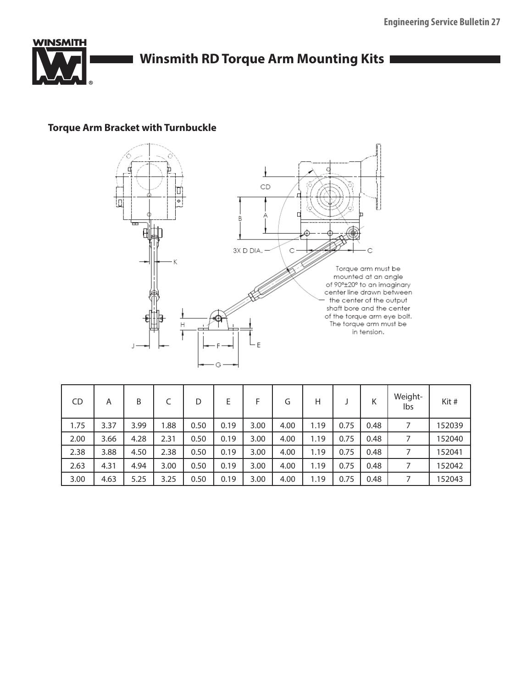

# **Torque Arm Bracket with Turnbuckle**



| <b>CD</b> | A    | B    |      | D    | E    | F    | G    | н    |      | Κ    | Weight-<br>lbs | Kit#   |
|-----------|------|------|------|------|------|------|------|------|------|------|----------------|--------|
| 1.75      | 3.37 | 3.99 | 1.88 | 0.50 | 0.19 | 3.00 | 4.00 | 1.19 | 0.75 | 0.48 |                | 152039 |
| 2.00      | 3.66 | 4.28 | 2.31 | 0.50 | 0.19 | 3.00 | 4.00 | 1.19 | 0.75 | 0.48 |                | 152040 |
| 2.38      | 3.88 | 4.50 | 2.38 | 0.50 | 0.19 | 3.00 | 4.00 | 1.19 | 0.75 | 0.48 |                | 152041 |
| 2.63      | 4.31 | 4.94 | 3.00 | 0.50 | 0.19 | 3.00 | 4.00 | 1.19 | 0.75 | 0.48 |                | 152042 |
| 3.00      | 4.63 | 5.25 | 3.25 | 0.50 | 0.19 | 3.00 | 4.00 | 1.19 | 0.75 | 0.48 |                | 152043 |